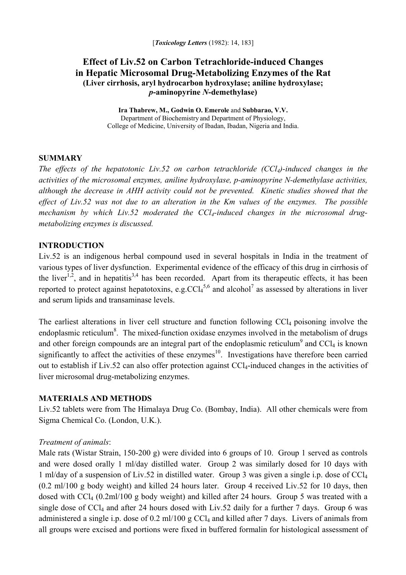# **Effect of Liv.52 on Carbon Tetrachloride-induced Changes in Hepatic Microsomal Drug-Metabolizing Enzymes of the Rat (Liver cirrhosis, aryl hydrocarbon hydroxylase; aniline hydroxylase;**  *p***-aminopyrine** *N***-demethylase)**

**Ira Thabrew, M., Godwin O. Emerole** and **Subbarao, V.V.** Department of Biochemistry and Department of Physiology, College of Medicine, University of Ibadan, Ibadan, Nigeria and India.

#### **SUMMARY**

*The effects of the hepatotonic Liv.52 on carbon tetrachloride (CCl4)-induced changes in the activities of the microsomal enzymes, aniline hydroxylase, p-aminopyrine N-demethylase activities, although the decrease in AHH activity could not be prevented. Kinetic studies showed that the effect of Liv.52 was not due to an alteration in the Km values of the enzymes. The possible*  mechanism by which Liv.52 moderated the CCl<sub>4</sub>-induced changes in the microsomal drug*metabolizing enzymes is discussed.* 

# **INTRODUCTION**

Liv.52 is an indigenous herbal compound used in several hospitals in India in the treatment of various types of liver dysfunction. Experimental evidence of the efficacy of this drug in cirrhosis of the liver<sup>1,2</sup>, and in hepatitis<sup>3,4</sup> has been recorded. Apart from its therapeutic effects, it has been reported to protect against hepatotoxins, e.g.  $CCl<sub>4</sub><sup>5,6</sup>$  and alcohol<sup>7</sup> as assessed by alterations in liver and serum lipids and transaminase levels.

The earliest alterations in liver cell structure and function following CCl<sub>4</sub> poisoning involve the endoplasmic reticulum<sup>8</sup>. The mixed-function oxidase enzymes involved in the metabolism of drugs and other foreign compounds are an integral part of the endoplasmic reticulum<sup>9</sup> and CCl<sub>4</sub> is known significantly to affect the activities of these enzymes<sup>10</sup>. Investigations have therefore been carried out to establish if Liv.52 can also offer protection against CCl4-induced changes in the activities of liver microsomal drug-metabolizing enzymes.

## **MATERIALS AND METHODS**

Liv.52 tablets were from The Himalaya Drug Co. (Bombay, India). All other chemicals were from Sigma Chemical Co. (London, U.K.).

## *Treatment of animals*:

Male rats (Wistar Strain, 150-200 g) were divided into 6 groups of 10. Group 1 served as controls and were dosed orally 1 ml/day distilled water. Group 2 was similarly dosed for 10 days with 1 ml/day of a suspension of Liv.52 in distilled water. Group 3 was given a single i.p. dose of CCl4 (0.2 ml/100 g body weight) and killed 24 hours later. Group 4 received Liv.52 for 10 days, then dosed with CCl4 (0.2ml/100 g body weight) and killed after 24 hours. Group 5 was treated with a single dose of CC $l_4$  and after 24 hours dosed with Liv.52 daily for a further 7 days. Group 6 was administered a single i.p. dose of  $0.2 \text{ ml}/100 \text{ g } CCl_4$  and killed after 7 days. Livers of animals from all groups were excised and portions were fixed in buffered formalin for histological assessment of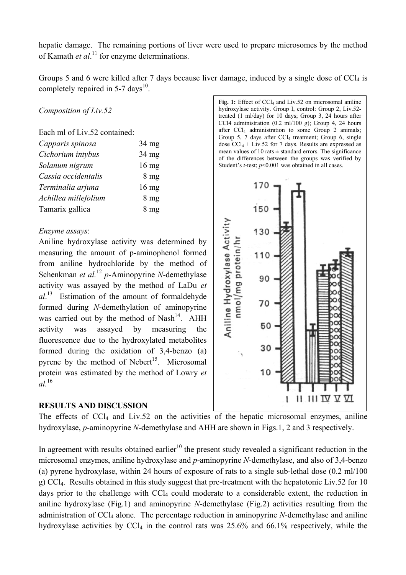hepatic damage. The remaining portions of liver were used to prepare microsomes by the method of Kamath *et al*. 11 for enzyme determinations.

Groups 5 and 6 were killed after 7 days because liver damage, induced by a single dose of  $\text{CCl}_4$  is completely repaired in 5-7 days $^{10}$ .

*Composition of Liv.52* 

Each ml of Liv.52 contained:

| Capparis spinosa     | 34 mg           |
|----------------------|-----------------|
| Cichorium intybus    | 34 mg           |
| Solanum nigrum       | $16 \text{ mg}$ |
| Cassia occidentalis  | 8 <sub>mg</sub> |
| Terminalia arjuna    | $16 \text{ mg}$ |
| Achillea millefolium | 8 <sub>mg</sub> |
| Tamarix gallica      | 8 <sub>mg</sub> |

#### *Enzyme assays*:

Aniline hydroxylase activity was determined by measuring the amount of p-aminophenol formed from aniline hydrochloride by the method of Schenkman *et al.*<sup>12</sup>  *p*-Aminopyrine *N*-demethylase activity was assayed by the method of LaDu *et al*. 13 Estimation of the amount of formaldehyde formed during *N*-demethylation of aminopyrine was carried out by the method of  $Nash^{14}$ . AHH activity was assayed by measuring the fluorescence due to the hydroxylated metabolites formed during the oxidation of 3,4-benzo (a) pyrene by the method of Nebert<sup>15</sup>. Microsomal protein was estimated by the method of Lowry *et al.*<sup>16</sup>

#### **RESULTS AND DISCUSSION**

The effects of  $CCl<sub>4</sub>$  and Liv.52 on the activities of the hepatic microsomal enzymes, aniline hydroxylase, *p*-aminopyrine *N*-demethylase and AHH are shown in Figs.1, 2 and 3 respectively.

In agreement with results obtained earlier<sup>10</sup> the present study revealed a significant reduction in the microsomal enzymes, aniline hydroxylase and *p*-aminopyrine *N*-demethylase, and also of 3,4-benzo (a) pyrene hydroxylase, within 24 hours of exposure of rats to a single sub-lethal dose (0.2 ml/100 g) CCl4. Results obtained in this study suggest that pre-treatment with the hepatotonic Liv.52 for 10 days prior to the challenge with  $CCl<sub>4</sub>$  could moderate to a considerable extent, the reduction in aniline hydroxylase (Fig.1) and aminopyrine *N*-demethylase (Fig.2) activities resulting from the administration of CCl<sub>4</sub> alone. The percentage reduction in aminopyrine *N*-demethylase and aniline hydroxylase activities by  $\text{CCl}_4$  in the control rats was 25.6% and 66.1% respectively, while the

Fig. 1: Effect of CCl<sub>4</sub> and Liv.52 on microsomal aniline hydroxylase activity. Group I, control: Group 2, Liv.52 treated (1 ml/day) for 10 days; Group 3, 24 hours after CCl4 administration  $(0.2 \text{ ml}/100 \text{ g})$ ; Group 4, 24 hours after  $CCl_4$  administration to some Group 2 animals; Group 5, 7 days after  $CCl_4$  treatment; Group 6, single dose  $CCl_4$  + Liv.52 for 7 days. Results are expressed as mean values of 10 rats  $\pm$  standard errors. The significance of the differences between the groups was verified by Student's *t*-test;  $p<0.001$  was obtained in all cases.

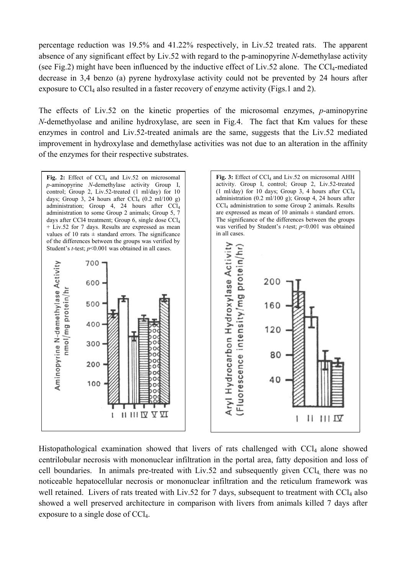percentage reduction was 19.5% and 41.22% respectively, in Liv.52 treated rats. The apparent absence of any significant effect by Liv.52 with regard to the p-aminopyrine *N*-demethylase activity (see Fig.2) might have been influenced by the inductive effect of Liv.52 alone. The CCl<sub>4</sub>-mediated decrease in 3,4 benzo (a) pyrene hydroxylase activity could not be prevented by 24 hours after exposure to CCl<sub>4</sub> also resulted in a faster recovery of enzyme activity (Figs.1 and 2).

The effects of Liv.52 on the kinetic properties of the microsomal enzymes, *p*-aminopyrine *N*-demethyolase and aniline hydroxylase, are seen in Fig.4. The fact that Km values for these enzymes in control and Liv.52-treated animals are the same, suggests that the Liv.52 mediated improvement in hydroxylase and demethylase activities was not due to an alteration in the affinity of the enzymes for their respective substrates.



Histopathological examination showed that livers of rats challenged with CCl<sub>4</sub> alone showed centrilobular necrosis with mononuclear infiltration in the portal area, fatty deposition and loss of cell boundaries. In animals pre-treated with  $Liv.52$  and subsequently given  $CCl<sub>4</sub>$ , there was no noticeable hepatocellular necrosis or mononuclear infiltration and the reticulum framework was well retained. Livers of rats treated with Liv.52 for 7 days, subsequent to treatment with  $\text{CC}l_4$  also showed a well preserved architecture in comparison with livers from animals killed 7 days after exposure to a single dose of CCl4.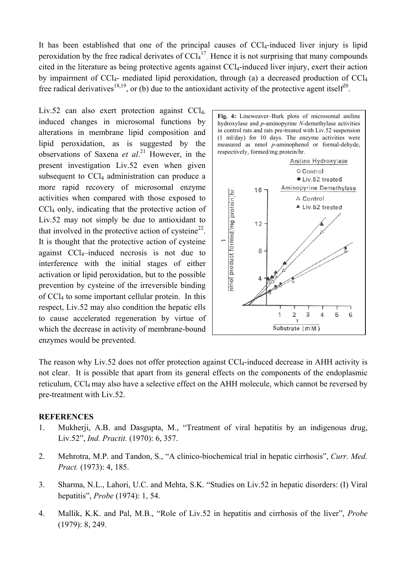It has been established that one of the principal causes of  $CCl_4$ -induced liver injury is lipid peroxidation by the free radical derivates of  $CCl<sub>4</sub><sup>17</sup>$ . Hence it is not surprising that many compounds cited in the literature as being protective agents against CCl4-induced liver injury, exert their action by impairment of  $CCl<sub>4</sub>$ - mediated lipid peroxidation, through (a) a decreased production of  $CCl<sub>4</sub>$ free radical derivatives<sup>18,19</sup>, or (b) due to the antioxidant activity of the protective agent itself<sup>20</sup>.

Liv.52 can also exert protection against  $CCL$ . induced changes in microsomal functions by alterations in membrane lipid composition and lipid peroxidation, as is suggested by the observations of Saxena *et al*. 21 However, in the present investigation Liv.52 even when given subsequent to  $CCl<sub>4</sub>$  administration can produce a more rapid recovery of microsomal enzyme activities when compared with those exposed to CCl4 only, indicating that the protective action of Liv.52 may not simply be due to antioxidant to that involved in the protective action of cysteine<sup>22</sup>. It is thought that the protective action of cysteine against CCl4–induced necrosis is not due to interference with the initial stages of either activation or lipid peroxidation, but to the possible prevention by cysteine of the irreversible binding of CCl4 to some important cellular protein. In this respect, Liv.52 may also condition the hepatic ells to cause accelerated regeneration by virtue of which the decrease in activity of membrane-bound enzymes would be prevented.





The reason why Liv.52 does not offer protection against CCl<sub>4</sub>-induced decrease in AHH activity is not clear. It is possible that apart from its general effects on the components of the endoplasmic reticulum, CCl<sub>4</sub> may also have a selective effect on the AHH molecule, which cannot be reversed by pre-treatment with Liv.52.

#### **REFERENCES**

- 1. Mukherji, A.B. and Dasgupta, M., "Treatment of viral hepatitis by an indigenous drug, Liv.52", *Ind. Practit.* (1970): 6, 357.
- 2. Mehrotra, M.P. and Tandon, S., "A clinico-biochemical trial in hepatic cirrhosis", *Curr. Med. Pract.* (1973): 4, 185.
- 3. Sharma, N.L., Lahori, U.C. and Mehta, S.K. "Studies on Liv.52 in hepatic disorders: (I) Viral hepatitis", *Probe* (1974): 1, 54.
- 4. Mallik, K.K. and Pal, M.B., "Role of Liv.52 in hepatitis and cirrhosis of the liver", *Probe*  (1979): 8, 249.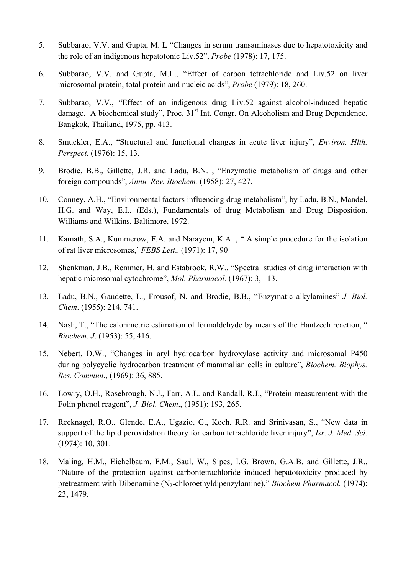- 5. Subbarao, V.V. and Gupta, M. L "Changes in serum transaminases due to hepatotoxicity and the role of an indigenous hepatotonic Liv.52", *Probe* (1978): 17, 175.
- 6. Subbarao, V.V. and Gupta, M.L., "Effect of carbon tetrachloride and Liv.52 on liver microsomal protein, total protein and nucleic acids", *Probe* (1979): 18, 260.
- 7. Subbarao, V.V., "Effect of an indigenous drug Liv.52 against alcohol-induced hepatic damage. A biochemical study", Proc.  $31<sup>st</sup>$  Int. Congr. On Alcoholism and Drug Dependence, Bangkok, Thailand, 1975, pp. 413.
- 8. Smuckler, E.A., "Structural and functional changes in acute liver injury", *Environ. Hlth. Perspect*. (1976): 15, 13.
- 9. Brodie, B.B., Gillette, J.R. and Ladu, B.N. , "Enzymatic metabolism of drugs and other foreign compounds", *Annu. Rev. Biochem.* (1958): 27, 427.
- 10. Conney, A.H., "Environmental factors influencing drug metabolism", by Ladu, B.N., Mandel, H.G. and Way, E.I., (Eds.), Fundamentals of drug Metabolism and Drug Disposition. Williams and Wilkins, Baltimore, 1972.
- 11. Kamath, S.A., Kummerow, F.A. and Narayem, K.A. , " A simple procedure for the isolation of rat liver microsomes,' *FEBS Lett*.. (1971): 17, 90
- 12. Shenkman, J.B., Remmer, H. and Estabrook, R.W., "Spectral studies of drug interaction with hepatic microsomal cytochrome", *Mol. Pharmacol.* (1967): 3, 113.
- 13. Ladu, B.N., Gaudette, L., Frousof, N. and Brodie, B.B., "Enzymatic alkylamines" *J. Biol. Chem*. (1955): 214, 741.
- 14. Nash, T., "The calorimetric estimation of formaldehyde by means of the Hantzech reaction, " *Biochem. J*. (1953): 55, 416.
- 15. Nebert, D.W., "Changes in aryl hydrocarbon hydroxylase activity and microsomal P450 during polycyclic hydrocarbon treatment of mammalian cells in culture", *Biochem. Biophys. Res. Commun*., (1969): 36, 885.
- 16. Lowry, O.H., Rosebrough, N.J., Farr, A.L. and Randall, R.J., "Protein measurement with the Folin phenol reagent", *J. Biol. Chem*., (1951): 193, 265.
- 17. Recknagel, R.O., Glende, E.A., Ugazio, G., Koch, R.R. and Srinivasan, S., "New data in support of the lipid peroxidation theory for carbon tetrachloride liver injury", *Isr. J. Med. Sci.*  (1974): 10, 301.
- 18. Maling, H.M., Eichelbaum, F.M., Saul, W., Sipes, I.G. Brown, G.A.B. and Gillette, J.R., "Nature of the protection against carbontetrachloride induced hepatotoxicity produced by pretreatment with Dibenamine (N<sub>2</sub>-chloroethyldipenzylamine)," *Biochem Pharmacol.* (1974): 23, 1479.